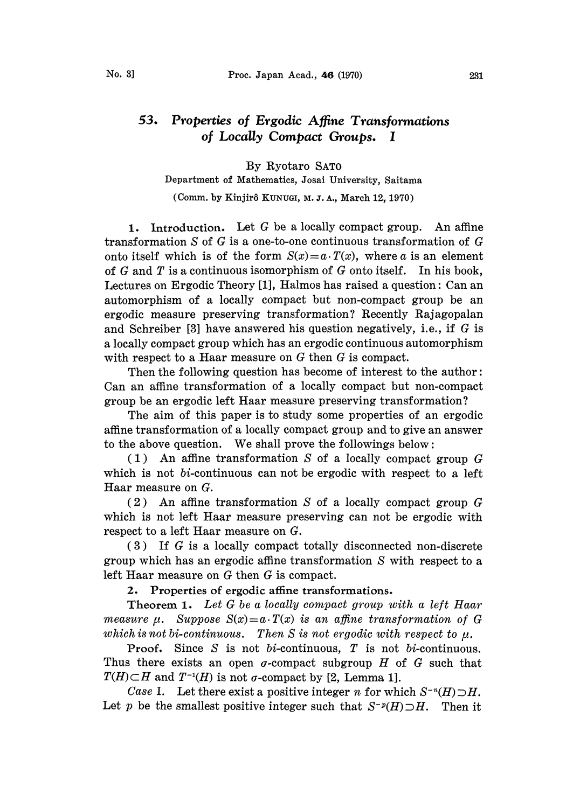## 53. Properties of Ergodic Affine Transformations of Locally Compact Groups. I

By Ryotaro SATO Department of Mathematics, Josai University, Saitama

(Comm. by Kinjirô KUNUGI, M. J. A., March 12, 1970)

1. Introduction. Let  $G$  be a locally compact group. An affine transformation S of G is a one-to-one continuous transformation of G onto itself which is of the form  $S(x)=a \cdot T(x)$ , where a is an element of  $G$  and  $T$  is a continuous isomorphism of  $G$  onto itself. In his book, Lectures on Ergodic Theory [1], Halmos has raised a question: Can an automorphism of a locally compact but non-compact group be an ergodic measure preserving transformation? Recently Rajagopalan and Schreiber [3] have answered his question negatively, i.e., if  $G$  is a locally compact group which has an ergodic continuous automorphism with respect to a Haar measure on  $G$  then  $G$  is compact.

Then the following question has become of interest to the author: Can an affine transformation of a locally compact but non-compact group be an ergodic left Haar measure preserving transformation?

The aim of this paper is to study some properties of an ergodic affine transformation ot a locally compact group and to give an answer to the above question. We shall prove the followings below:

 $(1)$  An affine transformation S of a locally compact group G which is not *bi*-continuous can not be ergodic with respect to a left Haar measure on G.

(2) An affine transformation S of a locally compact group G which is not left Haar measure preserving can not be ergodic with respect to a left Haar measure on G.

(3) If G is a locally compact totally disconnected non-discrete group which has an ergodic affine transformation S with respect to a left Haar measure on G then G is compact.

2. Properties of ergodic affine transformations.

Theorem 1. Let G be a locally compact group with a left Haar measure  $\mu$ . Suppose  $S(x)=a \cdot T(x)$  is an affine transformation of G which is not bi-continuous. Then S is not ergodic with respect to  $\mu$ .

**Proof.** Since S is not bi-continuous, T is not bi-continuous. Thus there exists an open  $\sigma$ -compact subgroup  $H$  of  $G$  such that  $T(H) \subset H$  and  $T^{-1}(H)$  is not  $\sigma$ -compact by [2, Lemma 1].

Case I. Let there exist a positive integer n for which  $S^{-n}(H) \supset H$ . Let p be the smallest positive integer such that  $S^{-p}(H) \supset H$ . Then it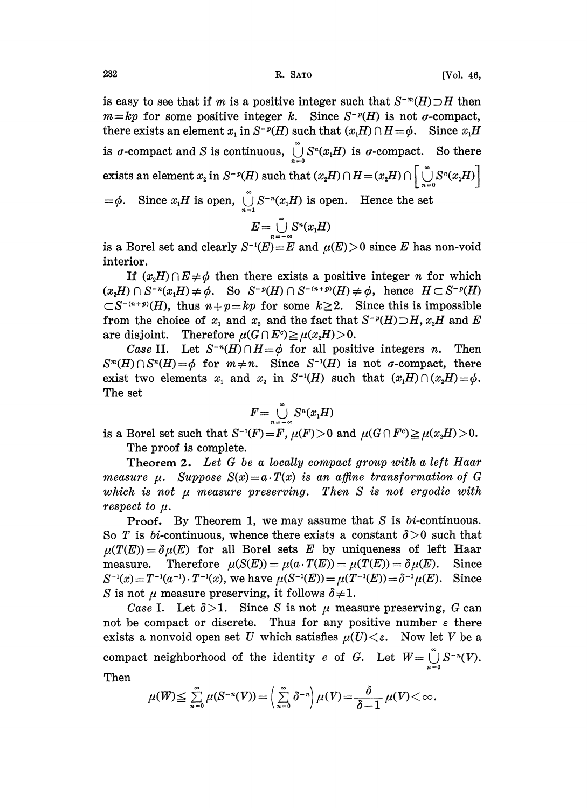is easy to see that if m is a positive integer such that  $S^{-m}(H) \supset H$  then  $m=kp$  for some positive integer k. Since  $S^{-p}(H)$  is not  $\sigma$ -compact, there exists an element  $x_1$  in  $S^{-p}(H)$  such that  $(x_1H) \cap H = \phi$ . Since  $x_1H$ is  $\sigma$ -compact and S is continuous,  $\bigcup_{n=0}^{\infty} S^n(x,H)$  is  $\sigma$ -compact. So there exists an element  $x_i$  in  $S^{-p}(H)$  such that  $(x_iH) \cap H = (x_iH) \cap \left[\bigcup_{i=0}^{n} S^{n}(x_iH)\right]$  $=\phi$ . Since  $x_1H$  is open,  $\bigcup_{i=1}^{\infty} S^{-n}(x_1H)$  is open. Hence the set

$$
E=\bigcup_{n=-\infty}^{\infty}S^n(x_1H)
$$

is a Borel set and clearly  $S^{-1}(E) = E$  and  $\mu(E) > 0$  since E has non-void interior.

If  $(x, H) \cap E \neq \phi$  then there exists a positive integer *n* for which  $(x<sub>2</sub>H) \cap S^{-n}(x<sub>i</sub>H) \neq \phi$ . So  $S^{-p}(H) \cap S^{-(n+p)}(H) \neq \phi$ , hence  $H \subset S^{-p}(H)$  $\subset S^{-(n+p)}(H)$ , thus  $n+p=kp$  for some  $k\geq 2$ . Since this is impossible from the choice of  $x_1$  and  $x_2$  and the fact that  $S^{-p}(H) \supset H$ ,  $x_2H$  and E are disjoint. Therefore  $\mu(G \cap E^c) \geq \mu(x,H) > 0$ .

Case II. Let  $S^{-n}(H) \cap H = \phi$  for all positive integers n. Then  $S^m(H) \cap S^n(H) = \phi$  for  $m \neq n$ . Since  $S^{-1}(H)$  is not  $\sigma$ -compact, there exist two elements  $x_1$  and  $x_2$  in S<sup>-1</sup>(H) such that  $(x_1H)\cap(x_2H)=\phi$ . The set

$$
F=\bigcup_{n=-\infty}^{\infty} S^n(x_1H)
$$

is a Borel set such that  $S^{-1}(F) = F$ ,  $\mu(F) > 0$  and  $\mu(G \cap F^c) \geq \mu(x,H) > 0$ . The proof is complete.

Theorem 2. Let G be a locally compact group with a left Haar measure  $\mu$ . Suppose  $S(x)=a \cdot T(x)$  is an affine transformation of G which is not  $\mu$  measure preserving. Then  $S$  is not ergodic with respect to  $\mu$ .

Proof. By Theorem 1, we may assume that S is bi-continuous. So T is bi-continuous, whence there exists a constant  $\delta > 0$  such that  $\mu(T(E))=\delta\mu(E)$  for all Borel sets E by uniqueness of left Haar measure. Therefore  $\mu(S(E)) = \mu(a \cdot T(E)) = \mu(T(E)) = \delta \mu(E)$ . Since  $S^{-1}(x) = T^{-1}(a^{-1}) \cdot T^{-1}(x)$ , we have  $\mu(S^{-1}(E)) = \mu(T^{-1}(E)) = \delta^{-1}\mu(E)$ . Since S is not  $\mu$  measure preserving, it follows  $\delta \neq 1$ .

Case I. Let  $\delta > 1$ . Since S is not  $\mu$  measure preserving, G can not be compact or discrete. Thus for any positive number  $\varepsilon$  there exists a nonvoid open set U which satisfies  $\mu(U) < \varepsilon$ . Now let V be a compact neighborhood of the identity e of G. Let  $W = \bigcup_{n=0}^{\infty} S^{-n}(V)$ . Then

$$
\mu(W) \leq \sum_{n=0}^{\infty} \mu(S^{-n}(V)) = \left(\sum_{n=0}^{\infty} \delta^{-n}\right) \mu(V) = \frac{\delta}{\delta - 1} \mu(V) <
$$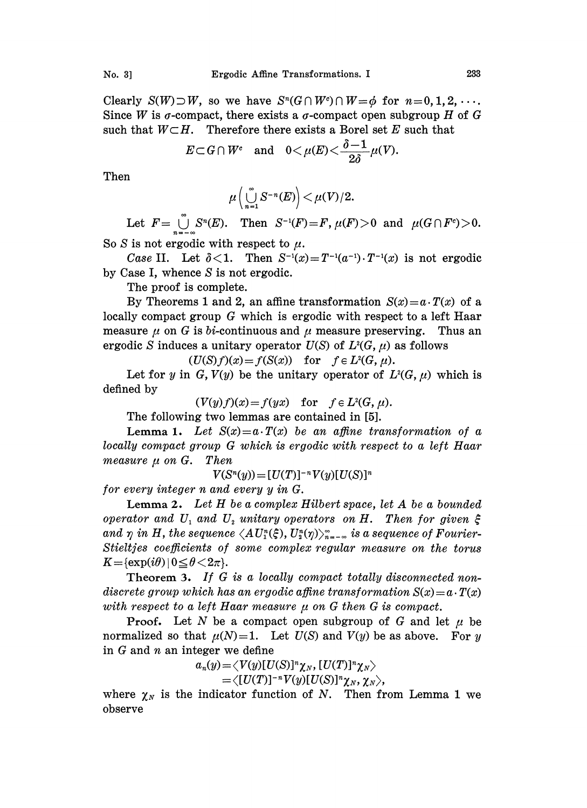Clearly  $S(W) \supset W$ , so we have  $S^n(G \cap W^c) \cap W = \phi$  for  $n=0, 1, 2, \ldots$ . Since W is  $\sigma$ -compact, there exists a  $\sigma$ -compact open subgroup H of G such that  $W\subset H$ . Therefore there exists a Borel set E such that

$$
E \subset G \cap W^c \quad \text{and} \quad 0 < \mu(E) < \frac{\delta - 1}{2\delta} \mu(V).
$$

Then

$$
\mu\left(\bigcup_{n=1}^{\infty} S^{-n}(E)\right) < \mu(V)/2.
$$

Let  $F = \bigcup_{n=0}^{\infty} S^n(E)$ . Then  $S^{-1}(F) = F$ ,  $\mu(F) > 0$  and  $\mu(G \cap F^c) > 0$ . So S is not ergodic with respect to  $\mu$ .

Case II. Let  $\delta$ <1. Then  $S^{-1}(x) = T^{-1}(a^{-1}) \cdot T^{-1}(x)$  is not ergodic by Case I, whence S is not ergodic.

The proof is complete.

By Theorems 1 and 2, an affine transformation  $S(x) = a \cdot T(x)$  of a locally compact group G which is ergodic with respect to a left Haar measure  $\mu$  on G is bi-continuous and  $\mu$  measure preserving. Thus an ergodic S induces a unitary operator  $U(S)$  of  $L<sup>2</sup>(G, \mu)$  as follows

$$
(U(S)f)(x) = f(S(x)) \text{ for } f \in L^{2}(G, \mu).
$$

Let for y in G,  $V(y)$  be the unitary operator of  $L^2(G, \mu)$  which is defined by

$$
(V(y)f)(x) = f(yx) \quad \text{for} \quad f \in L^{2}(G, \mu).
$$

The following two lemmas are contained in [5].

Lemma 1. Let  $S(x)=a \cdot T(x)$  be an affine transformation of a locally compact group G which is ergodic with respect to a left Haar measure  $\mu$  on G. Then

 $V(S^{n}(y)) = [U(T)]^{-n} V(y)[U(S)]^{n}$ 

for every integer n and every y in G.

Lemma 2. Let H be a complex Hilbert space, let A be a bounded operator and U<sub>1</sub> and U<sub>2</sub> unitary operators on H. Then for given  $\xi$ and  $\eta$  in H, the sequence  $\langle AU_1^n(\xi), U_2^n(\eta) \rangle_{\eta=-\infty}^{\infty}$  is a sequence of Fourier-Stieltjes coefficients of some complex regular measure on the torus<br>  $K = {\exp(i\theta)} \mid 0 \le \theta < 2\pi$ .

Theorem 3. If G is a locally compact totally disconnected nondiscrete group which has an ergodic affine transformation  $S(x) = a \cdot T(x)$ with respect to a left Haar measure  $\mu$  on G then G is compact.

**Proof.** Let N be a compact open subgroup of G and let  $\mu$  be normalized so that  $\mu(N)=1$ . Let  $U(S)$  and  $V(y)$  be as above. For y in  $G$  and  $n$  an integer we define

$$
a_n(y)=\langle V(y)[U(S)]^n\chi_N,[U(T)]^n\chi_N\rangle\\=\langle [U(T)]^{-n}V(y)[U(S)]^n\chi_N,\chi_N\rangle,
$$

where  $\chi_N$  is the indicator function of N. Then from Lemma 1 we observe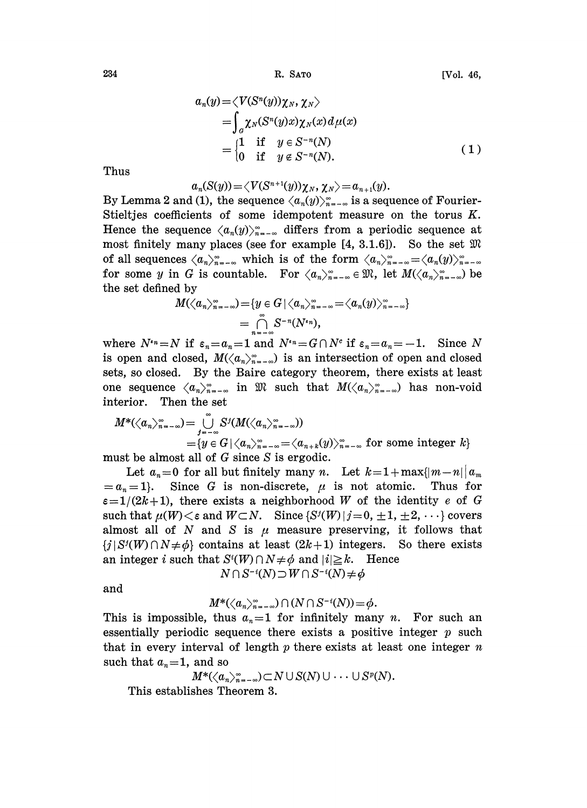$$
a_n(y) = \langle V(S^n(y))\chi_N, \chi_N \rangle
$$
  
= 
$$
\int_{\alpha} \chi_N(S^n(y)x)\chi_N(x) d\mu(x)
$$
  
= 
$$
\begin{cases} 1 & \text{if } y \in S^{-n}(N) \\ 0 & \text{if } y \notin S^{-n}(N). \end{cases}
$$
 (1)

Thus

$$
a_n(S(y)) = \langle V(S^{n+1}(y))\chi_N, \chi_N \rangle = a_{n+1}(y).
$$

By Lemma 2 and (1), the sequence  $\langle a_n(y) \rangle_{n=-\infty}^{\infty}$  is a sequence of Fourier-Stieltjes coefficients of some idempotent measure on the torus K. Hence the sequence  $\langle a_n(y) \rangle_{n=-\infty}^{\infty}$  differs from a periodic sequence at most finitely many places (see for example  $[4, 3.1.6]$ ). So the set  $\mathfrak{M}$ of all sequences  $\langle a_n \rangle_{n=-\infty}^{\infty}$  which is of the form  $\langle a_n \rangle_{n=-\infty}^{\infty} = \langle a_n(y) \rangle_{n=-\infty}^{\infty}$ for some y in G is countable. For  $\langle a_n\rangle_{n=-\infty}^{\infty} \in \mathfrak{M}$ , let  $M(\langle a_n\rangle_{n=-\infty}^{\infty})$  be the set defined by

$$
M(\langle a_n\rangle_{n=-\infty}^{\infty}) = \{y \in G \mid \langle a_n\rangle_{n=-\infty}^{\infty} = \langle a_n(y)\rangle_{n=-\infty}^{\infty} \}
$$
  
=  $\bigcap_{n=-\infty}^{\infty} S^{-n}(N^{n}),$ 

where  $N^{i_n}=N$  if  $\varepsilon_n=a_n=1$  and  $N^{i_n}=G\cap N^c$  if  $\varepsilon_n=a_n=-1$ . Since N is open and closed,  $M(\langle a_n\rangle_{n=-\infty}^{\infty})$  is an intersection of open and closed sets, so closed. By the Baire category theorem, there exists at least one sequence  $\langle a_n \rangle_{n=-\infty}^{\infty}$  in  $\mathfrak{M}$  such that  $M(\langle a_n \rangle_{n=-\infty}^{\infty})$  has non-void interior. Then the set

$$
M^*(\langle a_n \rangle_{n=-\infty}^{\infty}) = \bigcup_{j=-\infty}^{\infty} S^j(M(\langle a_n \rangle_{n=-\infty}^{\infty}))
$$
  
=  $\{y \in G \mid \langle a_n \rangle_{n=-\infty}^{\infty} = \langle a_{n+k}(y) \rangle_{n=-\infty}^{\infty} \text{ for some integer } k\}$ 

must be almost all of G since S is ergodic.

Let  $a_n = 0$  for all but finitely many n. Let  $k = 1 + \max\{|m-n|\} a_m$ <br> $n = 1$ . Since G is non-discrete,  $\mu$  is not atomic. Thus for  $=a_n=1$ . Since G is non-discrete,  $\mu$  is not atomic.  $\varepsilon = 1/(2k+1)$ , there exists a neighborhood W of the identity e of G such that  $\mu(W) < \varepsilon$  and  $W \subset N$ . Since  $\{S^{j}(W) | j = 0, \pm 1, \pm 2, \cdots\}$  covers almost all of N and S is  $\mu$  measure preserving, it follows that  $\{j \mid S'(W) \cap N \neq \phi\}$  contains at least  $(2k+1)$  integers. So there exists  $\{j \mid S'(W) \cap N \neq \phi\}$  contains at least  $(2k+1)$  integers. So there exists an integer i such that  $S'(W) \cap N \neq \phi$  and  $|i| \geq k$ . Hence

 $N \cap S^{-i}(N) \supset W \cap S^{-i}(N) \neq \phi$ 

and

$$
M^*(\langle a_n\rangle_{n=-\infty}^\infty)\cap (N\cap S^{-i}(N))=\phi.
$$

This is impossible, thus  $a_n=1$  for infinitely many n. For such an essentially periodic sequence there exists a positive integer  $p$  such that in every interval of length  $p$  there exists at least one integer  $n$ such that  $a_n = 1$ , and so

$$
M^*({\langle}a_n{\rangle}_{{n=-\infty}}^{\infty})\subset N\cup S(N)\cup\cdots\cup S^p(N).
$$

This establishes Theorem 3.